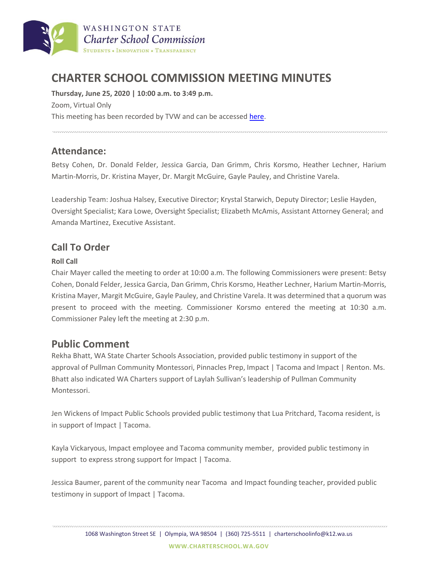

# **CHARTER SCHOOL COMMISSION MEETING MINUTES**

**Thursday, June 25, 2020 | 10:00 a.m. to 3:49 p.m.** Zoom, Virtual Only This meeting has been recorded by TVW and can be accesse[d here.](https://www.tvw.org/watch/?eventID=2020061175)

# **Attendance:**

Betsy Cohen, Dr. Donald Felder, Jessica Garcia, Dan Grimm, Chris Korsmo, Heather Lechner, Harium Martin-Morris, Dr. Kristina Mayer, Dr. Margit McGuire, Gayle Pauley, and Christine Varela.

Leadership Team: Joshua Halsey, Executive Director; Krystal Starwich, Deputy Director; Leslie Hayden, Oversight Specialist; Kara Lowe, Oversight Specialist; Elizabeth McAmis, Assistant Attorney General; and Amanda Martinez, Executive Assistant.

## **Call To Order**

## **Roll Call**

Chair Mayer called the meeting to order at 10:00 a.m. The following Commissioners were present: Betsy Cohen, Donald Felder, Jessica Garcia, Dan Grimm, Chris Korsmo, Heather Lechner, Harium Martin-Morris, Kristina Mayer, Margit McGuire, Gayle Pauley, and Christine Varela. It was determined that a quorum was present to proceed with the meeting. Commissioner Korsmo entered the meeting at 10:30 a.m. Commissioner Paley left the meeting at 2:30 p.m.

# **Public Comment**

Rekha Bhatt, WA State Charter Schools Association, provided public testimony in support of the approval of Pullman Community Montessori, Pinnacles Prep, Impact | Tacoma and Impact | Renton. Ms. Bhatt also indicated WA Charters support of Laylah Sullivan's leadership of Pullman Community Montessori.

Jen Wickens of Impact Public Schools provided public testimony that Lua Pritchard, Tacoma resident, is in support of Impact | Tacoma.

Kayla Vickaryous, Impact employee and Tacoma community member, provided public testimony in support to express strong support for Impact | Tacoma.

Jessica Baumer, parent of the community near Tacoma and Impact founding teacher, provided public testimony in support of Impact | Tacoma.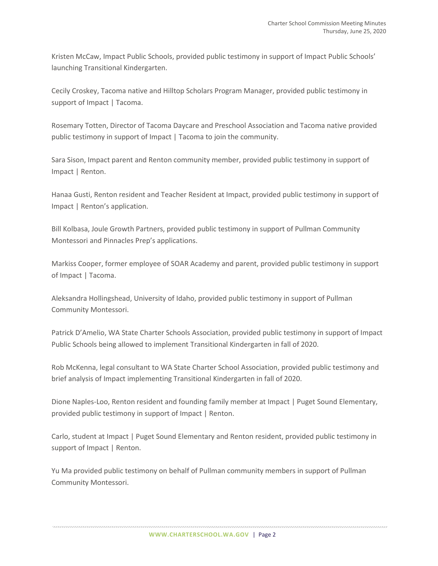Kristen McCaw, Impact Public Schools, provided public testimony in support of Impact Public Schools' launching Transitional Kindergarten.

Cecily Croskey, Tacoma native and Hilltop Scholars Program Manager, provided public testimony in support of Impact | Tacoma.

Rosemary Totten, Director of Tacoma Daycare and Preschool Association and Tacoma native provided public testimony in support of Impact | Tacoma to join the community.

Sara Sison, Impact parent and Renton community member, provided public testimony in support of Impact | Renton.

Hanaa Gusti, Renton resident and Teacher Resident at Impact, provided public testimony in support of Impact | Renton's application.

Bill Kolbasa, Joule Growth Partners, provided public testimony in support of Pullman Community Montessori and Pinnacles Prep's applications.

Markiss Cooper, former employee of SOAR Academy and parent, provided public testimony in support of Impact | Tacoma.

Aleksandra Hollingshead, University of Idaho, provided public testimony in support of Pullman Community Montessori.

Patrick D'Amelio, WA State Charter Schools Association, provided public testimony in support of Impact Public Schools being allowed to implement Transitional Kindergarten in fall of 2020.

Rob McKenna, legal consultant to WA State Charter School Association, provided public testimony and brief analysis of Impact implementing Transitional Kindergarten in fall of 2020.

Dione Naples-Loo, Renton resident and founding family member at Impact | Puget Sound Elementary, provided public testimony in support of Impact | Renton.

Carlo, student at Impact | Puget Sound Elementary and Renton resident, provided public testimony in support of Impact | Renton.

Yu Ma provided public testimony on behalf of Pullman community members in support of Pullman Community Montessori.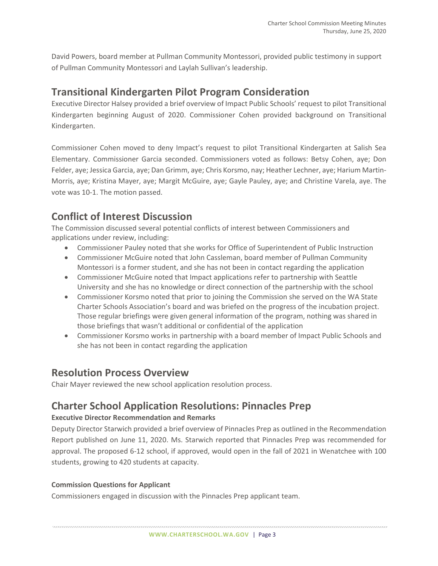David Powers, board member at Pullman Community Montessori, provided public testimony in support of Pullman Community Montessori and Laylah Sullivan's leadership.

## **Transitional Kindergarten Pilot Program Consideration**

Executive Director Halsey provided a brief overview of Impact Public Schools' request to pilot Transitional Kindergarten beginning August of 2020. Commissioner Cohen provided background on Transitional Kindergarten.

Commissioner Cohen moved to deny Impact's request to pilot Transitional Kindergarten at Salish Sea Elementary. Commissioner Garcia seconded. Commissioners voted as follows: Betsy Cohen, aye; Don Felder, aye; Jessica Garcia, aye; Dan Grimm, aye; Chris Korsmo, nay; Heather Lechner, aye; Harium Martin-Morris, aye; Kristina Mayer, aye; Margit McGuire, aye; Gayle Pauley, aye; and Christine Varela, aye. The vote was 10-1. The motion passed.

# **Conflict of Interest Discussion**

The Commission discussed several potential conflicts of interest between Commissioners and applications under review, including:

- Commissioner Pauley noted that she works for Office of Superintendent of Public Instruction
- Commissioner McGuire noted that John Cassleman, board member of Pullman Community Montessori is a former student, and she has not been in contact regarding the application
- Commissioner McGuire noted that Impact applications refer to partnership with Seattle University and she has no knowledge or direct connection of the partnership with the school
- Commissioner Korsmo noted that prior to joining the Commission she served on the WA State Charter Schools Association's board and was briefed on the progress of the incubation project. Those regular briefings were given general information of the program, nothing was shared in those briefings that wasn't additional or confidential of the application
- Commissioner Korsmo works in partnership with a board member of Impact Public Schools and she has not been in contact regarding the application

# **Resolution Process Overview**

Chair Mayer reviewed the new school application resolution process.

# **Charter School Application Resolutions: Pinnacles Prep**

## **Executive Director Recommendation and Remarks**

Deputy Director Starwich provided a brief overview of Pinnacles Prep as outlined in the Recommendation Report published on June 11, 2020. Ms. Starwich reported that Pinnacles Prep was recommended for approval. The proposed 6-12 school, if approved, would open in the fall of 2021 in Wenatchee with 100 students, growing to 420 students at capacity.

## **Commission Questions for Applicant**

Commissioners engaged in discussion with the Pinnacles Prep applicant team.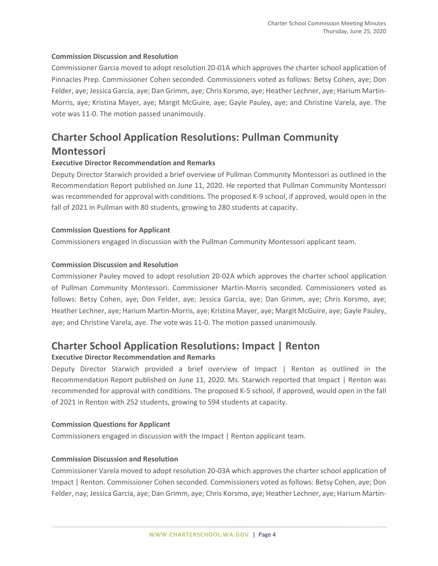#### **Commission Discussion and Resolution**

Commissioner Garcia moved to adopt resolution 20-01A which approves the charter school application of Pinnacles Prep. Commissioner Cohen seconded. Commissioners voted as follows: Betsy Cohen, aye; Don Felder, aye; Jessica Garcia, aye; Dan Grimm, aye; Chris Korsmo, aye; Heather Lechner, aye; Harium Martin-Morris, aye; Kristina Mayer, aye; Margit McGuire, aye; Gayle Pauley, aye; and Christine Varela, aye. The vote was 11-0. The motion passed unanimously.

# **Charter School Application Resolutions: Pullman Community Montessori**

#### **Executive Director Recommendation and Remarks**

Deputy Director Starwich provided a brief overview of Pullman Community Montessori as outlined in the Recommendation Report published on June 11, 2020. He reported that Pullman Community Montessori was recommended for approval with conditions. The proposed K-9 school, if approved, would open in the fall of 2021 in Pullman with 80 students, growing to 280 students at capacity.

#### **Commission Questions for Applicant**

Commissioners engaged in discussion with the Pullman Community Montessori applicant team.

#### **Commission Discussion and Resolution**

Commissioner Pauley moved to adopt resolution 20-02A which approves the charter school application of Pullman Community Montessori. Commissioner Martin-Morris seconded. Commissioners voted as follows: Betsy Cohen, aye; Don Felder, aye; Jessica Garcia, aye; Dan Grimm, aye; Chris Korsmo, aye; Heather Lechner, aye; Harium Martin-Morris, aye; Kristina Mayer, aye; Margit McGuire, aye; Gayle Pauley, aye; and Christine Varela, aye. The vote was 11-0. The motion passed unanimously.

## **Charter School Application Resolutions: Impact | Renton**

#### **Executive Director Recommendation and Remarks**

Deputy Director Starwich provided a brief overview of Impact | Renton as outlined in the Recommendation Report published on June 11, 2020. Ms. Starwich reported that Impact | Renton was recommended for approval with conditions. The proposed K-5 school, if approved, would open in the fall of 2021 in Renton with 252 students, growing to 594 students at capacity.

#### **Commission Questions for Applicant**

Commissioners engaged in discussion with the Impact | Renton applicant team.

#### **Commission Discussion and Resolution**

Commissioner Varela moved to adopt resolution 20-03A which approves the charter school application of Impact | Renton. Commissioner Cohen seconded. Commissioners voted as follows: Betsy Cohen, aye; Don Felder, nay; Jessica Garcia, aye; Dan Grimm, aye; Chris Korsmo, aye; Heather Lechner, aye; Harium Martin-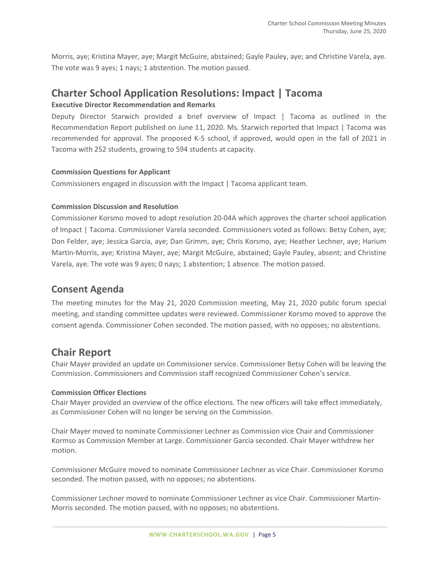Morris, aye; Kristina Mayer, aye; Margit McGuire, abstained; Gayle Pauley, aye; and Christine Varela, aye. The vote was 9 ayes; 1 nays; 1 abstention. The motion passed.

# **Charter School Application Resolutions: Impact | Tacoma**

## **Executive Director Recommendation and Remarks**

Deputy Director Starwich provided a brief overview of Impact | Tacoma as outlined in the Recommendation Report published on June 11, 2020. Ms. Starwich reported that Impact | Tacoma was recommended for approval. The proposed K-5 school, if approved, would open in the fall of 2021 in Tacoma with 252 students, growing to 594 students at capacity.

### **Commission Questions for Applicant**

Commissioners engaged in discussion with the Impact | Tacoma applicant team.

### **Commission Discussion and Resolution**

Commissioner Korsmo moved to adopt resolution 20-04A which approves the charter school application of Impact | Tacoma. Commissioner Varela seconded. Commissioners voted as follows: Betsy Cohen, aye; Don Felder, aye; Jessica Garcia, aye; Dan Grimm, aye; Chris Korsmo, aye; Heather Lechner, aye; Harium Martin-Morris, aye; Kristina Mayer, aye; Margit McGuire, abstained; Gayle Pauley, absent; and Christine Varela, aye. The vote was 9 ayes; 0 nays; 1 abstention; 1 absence. The motion passed.

## **Consent Agenda**

The meeting minutes for the May 21, 2020 Commission meeting, May 21, 2020 public forum special meeting, and standing committee updates were reviewed. Commissioner Korsmo moved to approve the consent agenda. Commissioner Cohen seconded. The motion passed, with no opposes; no abstentions.

# **Chair Report**

Chair Mayer provided an update on Commissioner service. Commissioner Betsy Cohen will be leaving the Commission. Commissioners and Commission staff recognized Commissioner Cohen's service.

#### **Commission Officer Elections**

Chair Mayer provided an overview of the office elections. The new officers will take effect immediately, as Commissioner Cohen will no longer be serving on the Commission.

Chair Mayer moved to nominate Commissioner Lechner as Commission vice Chair and Commissioner Kormso as Commission Member at Large. Commissioner Garcia seconded. Chair Mayer withdrew her motion.

Commissioner McGuire moved to nominate Commissioner Lechner as vice Chair. Commissioner Korsmo seconded. The motion passed, with no opposes; no abstentions.

Commissioner Lechner moved to nominate Commissioner Lechner as vice Chair. Commissioner Martin-Morris seconded. The motion passed, with no opposes; no abstentions.